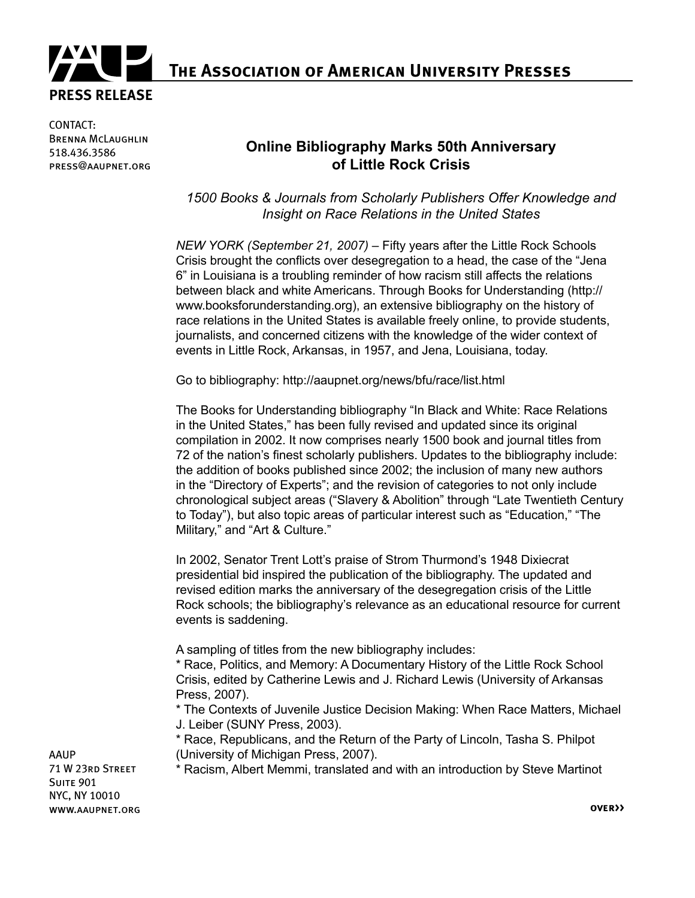

**The Association of American University Presses**

CONTACT: Brenna McLaughlin 518.436.3586 press@aaupnet.org

## **Online Bibliography Marks 50th Anniversary of Little Rock Crisis**

*1500 Books & Journals from Scholarly Publishers Offer Knowledge and Insight on Race Relations in the United States*

*NEW YORK (September 21, 2007) –* Fifty years after the Little Rock Schools Crisis brought the conflicts over desegregation to a head, the case of the "Jena 6" in Louisiana is a troubling reminder of how racism still affects the relations between black and white Americans. Through Books for Understanding (http:// www.booksforunderstanding.org), an extensive bibliography on the history of race relations in the United States is available freely online, to provide students, journalists, and concerned citizens with the knowledge of the wider context of events in Little Rock, Arkansas, in 1957, and Jena, Louisiana, today.

Go to bibliography: http://aaupnet.org/news/bfu/race/list.html

The Books for Understanding bibliography "In Black and White: Race Relations in the United States," has been fully revised and updated since its original compilation in 2002. It now comprises nearly 1500 book and journal titles from 72 of the nation's finest scholarly publishers. Updates to the bibliography include: the addition of books published since 2002; the inclusion of many new authors in the "Directory of Experts"; and the revision of categories to not only include chronological subject areas ("Slavery & Abolition" through "Late Twentieth Century to Today"), but also topic areas of particular interest such as "Education," "The Military," and "Art & Culture."

In 2002, Senator Trent Lott's praise of Strom Thurmond's 1948 Dixiecrat presidential bid inspired the publication of the bibliography. The updated and revised edition marks the anniversary of the desegregation crisis of the Little Rock schools; the bibliography's relevance as an educational resource for current events is saddening.

A sampling of titles from the new bibliography includes:

\* Race, Politics, and Memory: A Documentary History of the Little Rock School Crisis, edited by Catherine Lewis and J. Richard Lewis (University of Arkansas Press, 2007).

\* The Contexts of Juvenile Justice Decision Making: When Race Matters, Michael J. Leiber (SUNY Press, 2003).

\* Race, Republicans, and the Return of the Party of Lincoln, Tasha S. Philpot (University of Michigan Press, 2007).

\* Racism, Albert Memmi, translated and with an introduction by Steve Martinot

AAUP 71 W 23rd Street SUITE 901 NYC, NY 10010 www.aaupnet.org